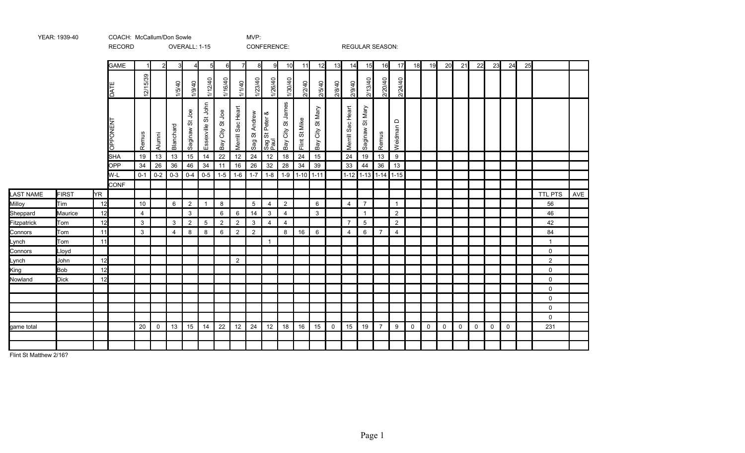|                  |              |     | <b>RECORD</b>   |          |             |                | OVERALL: 1-15  |                    |                 |                   |                | CONFERENCE:            |                         |                                       |                        |             |                   | <b>REGULAR SEASON:</b> |                |                |             |             |             |              |              |                |             |    |                |     |
|------------------|--------------|-----|-----------------|----------|-------------|----------------|----------------|--------------------|-----------------|-------------------|----------------|------------------------|-------------------------|---------------------------------------|------------------------|-------------|-------------------|------------------------|----------------|----------------|-------------|-------------|-------------|--------------|--------------|----------------|-------------|----|----------------|-----|
|                  |              |     | <b>GAME</b>     |          | 21          | 3              | $\overline{4}$ | 5 <sub>l</sub>     | 6               | $\overline{7}$    | 8              | 9                      | 10                      | 11                                    | 12                     | 13          | 14                | 15                     | 16             | 17             | 18          | 19          | 20          | 21           | 22           | 23             | 24          | 25 |                |     |
|                  |              |     | DATI            | 12/15/39 |             | 1/5/40         | 1/9/40         | 1/12/40            | 1/16/40         | 1/1/40            | 1/23/40        | 1/26/40                | 1/30/40                 | 2/2/40                                | 2/5/40                 | 2/8/40      | 2/9/40            | 2/13/40                | 2/20/40        | 2/24/40        |             |             |             |              |              |                |             |    |                |     |
|                  |              |     | <b>DPPONENT</b> | Remus    | Alumni      | Blanchard      | Saginaw St Joe | Essexville St John | Bay City St Joe | Merrill Sac Heart | Sag St Andrew  | Sag St Peter &<br>Paul | St James<br>City<br>Bay | Mike<br>$\rm \tilde{\varpi}$<br>Flint | St Mary<br>City<br>Bay |             | Merrill Sac Heart | St Mary<br>Saginaw     | Remus          | ≏<br>Weidman I |             |             |             |              |              |                |             |    |                |     |
|                  |              |     | <b>SHA</b>      | 19       | 13          | 13             | 15             | 14                 | 22              | 12                | 24             | 12                     | 18                      | 24                                    | 15                     |             | 24                | 19                     | 13             | 9              |             |             |             |              |              |                |             |    |                |     |
|                  |              |     | <b>OPP</b>      | 34       | 26          | 36             | 46             | $34\,$             | 11              | 16                | 26             | 32                     | 28                      | 34                                    | 39                     |             | 33                | 44                     | 36             | 13             |             |             |             |              |              |                |             |    |                |     |
|                  |              |     | W-L             | $0 - 1$  | $0 - 2$     | $0 - 3$        | $0 - 4$        | $0 - 5$            | $1 - 5$         | $1 - 6$           | $1 - 7$        | $1 - 8$                | $1 - 9$                 |                                       | $1-10$ 1-11            |             |                   | $1-12$ 1-13 1-14 1-15  |                |                |             |             |             |              |              |                |             |    |                |     |
|                  |              |     | <b>CONF</b>     |          |             |                |                |                    |                 |                   |                |                        |                         |                                       |                        |             |                   |                        |                |                |             |             |             |              |              |                |             |    |                |     |
| <b>LAST NAME</b> | <b>FIRST</b> | YR. |                 |          |             |                |                |                    |                 |                   |                |                        |                         |                                       |                        |             |                   |                        |                |                |             |             |             |              |              |                |             |    | <b>TTL PTS</b> | AVE |
| Milloy           | Tim          | 12  |                 | 10       |             | 6              | $\overline{2}$ | $\mathbf{1}$       | $8\phantom{1}$  |                   | 5              | $\overline{4}$         | $\overline{2}$          |                                       | 6                      |             | $\overline{4}$    | $\overline{7}$         |                | $\mathbf{1}$   |             |             |             |              |              |                |             |    | 56             |     |
| Sheppard         | Maurice      | 12  |                 | 4        |             |                | $\mathbf{3}$   |                    | 6               | 6                 | 14             | 3                      | 4                       |                                       | 3                      |             |                   | $\mathbf{1}$           |                | $\overline{2}$ |             |             |             |              |              |                |             |    | 46             |     |
| Fitzpatrick      | Tom          | 12  |                 | 3        |             | $\mathbf{3}$   | $\overline{2}$ | $\overline{5}$     | $\overline{2}$  | $\overline{2}$    | $\mathbf{3}$   | $\overline{4}$         | $\overline{4}$          |                                       |                        |             | $\overline{7}$    | $5\phantom{.0}$        |                | $\overline{2}$ |             |             |             |              |              |                |             |    | 42             |     |
| Connors          | Tom          | 11  |                 | 3        |             | $\overline{4}$ | 8              | 8                  | 6               | $\overline{2}$    | $\overline{2}$ |                        | 8                       | 16                                    | 6                      |             | $\overline{4}$    | 6                      | $\overline{7}$ | $\overline{4}$ |             |             |             |              |              |                |             |    | 84             |     |
| Lynch            | Tom          | 11  |                 |          |             |                |                |                    |                 |                   |                | -1                     |                         |                                       |                        |             |                   |                        |                |                |             |             |             |              |              |                |             |    | $\mathbf{1}$   |     |
| Connors          | Lloyd        |     |                 |          |             |                |                |                    |                 |                   |                |                        |                         |                                       |                        |             |                   |                        |                |                |             |             |             |              |              |                |             |    | $\mathbf 0$    |     |
| Lynch            | John         | 12  |                 |          |             |                |                |                    |                 | 2                 |                |                        |                         |                                       |                        |             |                   |                        |                |                |             |             |             |              |              |                |             |    | $\overline{2}$ |     |
| King             | <b>Bob</b>   | 12  |                 |          |             |                |                |                    |                 |                   |                |                        |                         |                                       |                        |             |                   |                        |                |                |             |             |             |              |              |                |             |    | 0              |     |
| Nowland          | <b>Dick</b>  | 12  |                 |          |             |                |                |                    |                 |                   |                |                        |                         |                                       |                        |             |                   |                        |                |                |             |             |             |              |              |                |             |    | $\mathbf 0$    |     |
|                  |              |     |                 |          |             |                |                |                    |                 |                   |                |                        |                         |                                       |                        |             |                   |                        |                |                |             |             |             |              |              |                |             |    | $\mathbf 0$    |     |
|                  |              |     |                 |          |             |                |                |                    |                 |                   |                |                        |                         |                                       |                        |             |                   |                        |                |                |             |             |             |              |              |                |             |    | 0              |     |
|                  |              |     |                 |          |             |                |                |                    |                 |                   |                |                        |                         |                                       |                        |             |                   |                        |                |                |             |             |             |              |              |                |             |    | $\mathbf 0$    |     |
|                  |              |     |                 |          |             |                |                |                    |                 |                   |                |                        |                         |                                       |                        |             |                   |                        |                |                |             |             |             |              |              |                |             |    | $\mathbf 0$    |     |
| game total       |              |     |                 | 20       | $\mathbf 0$ | 13             | 15             | 14                 | 22              | 12                | 24             | 12                     | 18                      | 16                                    | 15                     | $\mathbf 0$ | 15                | 19                     | $\overline{7}$ | 9              | $\mathbf 0$ | $\mathbf 0$ | $\mathbf 0$ | $\mathsf{O}$ | $\mathsf{O}$ | $\overline{0}$ | $\mathbf 0$ |    | 231            |     |
|                  |              |     |                 |          |             |                |                |                    |                 |                   |                |                        |                         |                                       |                        |             |                   |                        |                |                |             |             |             |              |              |                |             |    |                |     |
|                  |              |     |                 |          |             |                |                |                    |                 |                   |                |                        |                         |                                       |                        |             |                   |                        |                |                |             |             |             |              |              |                |             |    |                |     |

Flint St Matthew 2/16?

YEAR: 1939-40 COACH: McCallum/Don Sowle COACH: MCCallum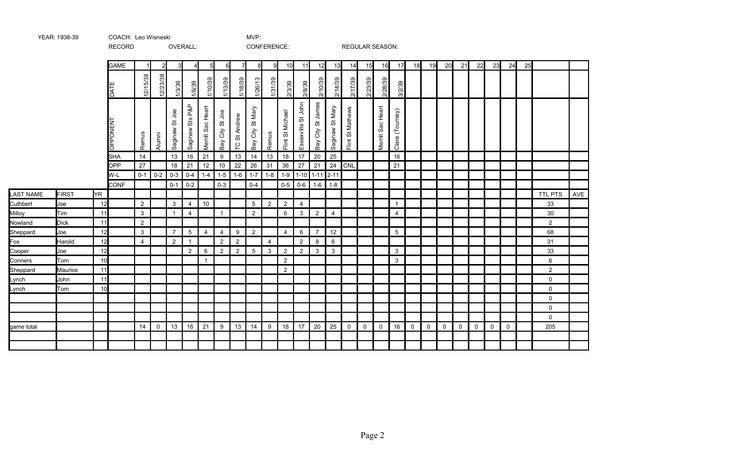|                  |              |           | 11200110        |                |               |                |                 |                   |                 |                | <b>OONIERENCE.</b>     |                |                  |                                                         |                         |                                         | <b>INLOULAIN ULAUUIN.</b>    |              |                   |                    |                |             |              |              |             |              |              |    |                |     |
|------------------|--------------|-----------|-----------------|----------------|---------------|----------------|-----------------|-------------------|-----------------|----------------|------------------------|----------------|------------------|---------------------------------------------------------|-------------------------|-----------------------------------------|------------------------------|--------------|-------------------|--------------------|----------------|-------------|--------------|--------------|-------------|--------------|--------------|----|----------------|-----|
|                  |              |           | <b>GAME</b>     |                | 2             | 3              | 4               | 5 <sub>l</sub>    | 6               | 71             | 8                      | -9             | 10               | 11                                                      | 12                      | 13                                      | 14                           | 15           | 16                | 17                 | 18             | 19          | 20           | 21           | 22          | 23           | 24           | 25 |                |     |
|                  |              |           | DAT             | 12/15/38       | 12/23/38      | 1/3/39         | 1/6/39          | 1/10/39           | 1/13/39         | 1/18/39        | 1/26/13                | 1/31/39        | 2/3/39           | 2/8/39                                                  | 2/10/39                 | 2/14/39                                 | 2/17/39                      | 2/23/39      | 2/28/39           | 3/2/39             |                |             |              |              |             |              |              |    |                |     |
|                  |              |           | <b>DPPONENT</b> | Remus          | Alumni        | Saginaw St Joe | Saginaw Sts P&P | Merrill Sac Heart | Bay City St Joe | TC St Andrew   | St Mary<br>City<br>keg | Remus          | Flint St Michael | John<br>$\overleftrightarrow{\mathrm{o}}$<br>Essexville | St James<br>City<br>Bay | Mary<br>$\breve{\mathrm{o}}$<br>Saginaw | St Mathews<br>$\overline{E}$ |              | Merrill Sac Heart | (Tourney)<br>Clare |                |             |              |              |             |              |              |    |                |     |
|                  |              |           | <b>SHA</b>      | 14             |               | 13             | 16              | 21                | $9\,$           | 13             | 14                     | 13             | 18               | 17                                                      | 20                      | 25                                      |                              |              |                   | 16                 |                |             |              |              |             |              |              |    |                |     |
|                  |              |           | <b>OPP</b>      | 27             |               | 18             | 21              | 12                | $10$            | 22             | 26                     | 31             | 36               | 27                                                      | 21                      | 24                                      | CNL                          |              |                   | 21                 |                |             |              |              |             |              |              |    |                |     |
|                  |              |           | W-L             |                | $0-1$ 0-2 0-3 |                | $0-4$           | $1 - 4$           | $1-5$           | $1-6$          | $1 - 7$                | $1 - 8$        | $1-9$            |                                                         | $1-10$ 1-11 2-11        |                                         |                              |              |                   |                    |                |             |              |              |             |              |              |    |                |     |
|                  |              |           | <b>CONF</b>     |                |               | $0 - 1$        | $0-2$           |                   | $0 - 3$         |                | $0 - 4$                |                | $0-5$            | $0-6$                                                   | $1 - 6$                 | $1-8$                                   |                              |              |                   |                    |                |             |              |              |             |              |              |    |                |     |
| <b>LAST NAME</b> | <b>FIRST</b> | <b>YR</b> |                 |                |               |                |                 |                   |                 |                |                        |                |                  |                                                         |                         |                                         |                              |              |                   |                    |                |             |              |              |             |              |              |    | <b>TTL PTS</b> | AVE |
| Cuthbert         | Joe          | 12        |                 | $\overline{2}$ |               | $\mathbf{3}$   | $\overline{4}$  | $10$              |                 |                | 5                      | $\overline{2}$ | $\overline{2}$   | 4                                                       |                         |                                         |                              |              |                   | $\mathbf{1}$       |                |             |              |              |             |              |              |    | 33             |     |
| Milloy           | Tim          | 11        |                 | $\mathbf{3}$   |               | $\mathbf{1}$   | $\overline{4}$  |                   | $\mathbf{1}$    |                | $\overline{2}$         |                | 6                | 3                                                       | $\overline{2}$          | $\overline{4}$                          |                              |              |                   | 4                  |                |             |              |              |             |              |              |    | 30             |     |
| Nowland          | <b>Dick</b>  | 11        |                 | $\overline{2}$ |               |                |                 |                   |                 |                |                        |                |                  |                                                         |                         |                                         |                              |              |                   |                    |                |             |              |              |             |              |              |    | $\overline{2}$ |     |
| Sheppard         | Joe          | 12        |                 | 3              |               | $\overline{7}$ | 5               | $\overline{4}$    | $\overline{4}$  | 9              | $\overline{2}$         |                | $\overline{4}$   | 6                                                       | $\overline{7}$          | 12                                      |                              |              |                   | $5\,$              |                |             |              |              |             |              |              |    | 68             |     |
| Fox              | Harold       | 12        |                 | 4              |               | $\overline{2}$ |                 |                   | $\overline{2}$  | $\overline{2}$ |                        | $\overline{4}$ |                  | 2                                                       | 8                       | 6                                       |                              |              |                   |                    |                |             |              |              |             |              |              |    | 31             |     |
| Cooper           | Joe          | 12        |                 |                |               |                | $\overline{2}$  | 6                 | $\overline{2}$  | $\overline{2}$ | $\overline{5}$         | $\mathbf{3}$   | $\overline{2}$   | $\overline{2}$                                          | 3                       | $\mathbf{3}$                            |                              |              |                   | $\mathbf{3}$       |                |             |              |              |             |              |              |    | 33             |     |
| Conners          | Tom          | 10        |                 |                |               |                |                 | $\overline{1}$    |                 |                |                        |                | $\overline{2}$   |                                                         |                         |                                         |                              |              |                   | $\mathbf{3}$       |                |             |              |              |             |              |              |    | 6              |     |
| Sheppard         | Maurice      | 11        |                 |                |               |                |                 |                   |                 |                |                        |                | 2                |                                                         |                         |                                         |                              |              |                   |                    |                |             |              |              |             |              |              |    | $\overline{a}$ |     |
| Lynch            | John         | 11        |                 |                |               |                |                 |                   |                 |                |                        |                |                  |                                                         |                         |                                         |                              |              |                   |                    |                |             |              |              |             |              |              |    | 0              |     |
| Lynch            | Tom          | 10        |                 |                |               |                |                 |                   |                 |                |                        |                |                  |                                                         |                         |                                         |                              |              |                   |                    |                |             |              |              |             |              |              |    | 0              |     |
|                  |              |           |                 |                |               |                |                 |                   |                 |                |                        |                |                  |                                                         |                         |                                         |                              |              |                   |                    |                |             |              |              |             |              |              |    | $\mathsf{O}$   |     |
|                  |              |           |                 |                |               |                |                 |                   |                 |                |                        |                |                  |                                                         |                         |                                         |                              |              |                   |                    |                |             |              |              |             |              |              |    | 0              |     |
|                  |              |           |                 |                |               |                |                 |                   |                 |                |                        |                |                  |                                                         |                         |                                         |                              |              |                   |                    |                |             |              |              |             |              |              |    | 0              |     |
| game total       |              |           |                 | 14             | $\mathbf{0}$  | 13             | 16              | 21                | 9               | 13             | 14                     | 9              | 18               | 17                                                      | 20                      | 25                                      | $\overline{0}$               | $\mathsf{O}$ | $\mathbf{0}$      | 16                 | $\overline{0}$ | $\mathbf 0$ | $\mathsf{O}$ | $\mathbf{0}$ | $\mathbf 0$ | $\mathsf{O}$ | $\mathsf{O}$ |    | 205            |     |
|                  |              |           |                 |                |               |                |                 |                   |                 |                |                        |                |                  |                                                         |                         |                                         |                              |              |                   |                    |                |             |              |              |             |              |              |    |                |     |
|                  |              |           |                 |                |               |                |                 |                   |                 |                |                        |                |                  |                                                         |                         |                                         |                              |              |                   |                    |                |             |              |              |             |              |              |    |                |     |

YEAR: 1938-39 COACH: Leo Wisneski MVP:

RECORD OVERALL: CONFERENCE: REGULAR SEASON: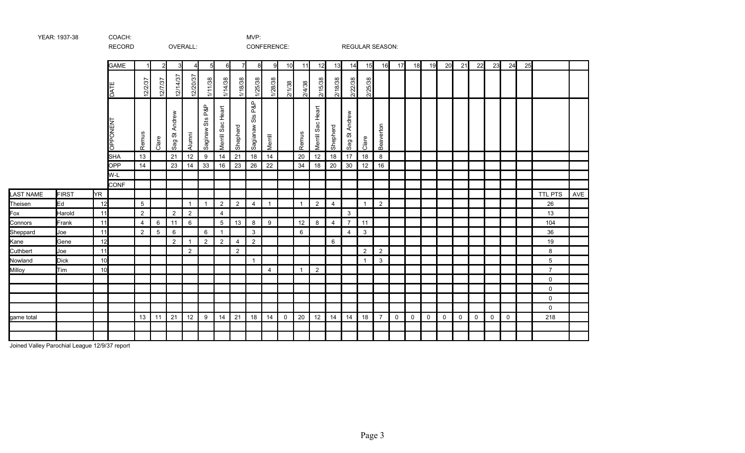|                  |              |     | <b>RECORD</b>   |                |                 |                    | OVERALL:       |                 |                   |                |                     | CONFERENCE:    |             |              |                         |                | <b>REGULAR SEASON:</b> |                |                |              |             |             |              |              |             |             |             |    |                |     |
|------------------|--------------|-----|-----------------|----------------|-----------------|--------------------|----------------|-----------------|-------------------|----------------|---------------------|----------------|-------------|--------------|-------------------------|----------------|------------------------|----------------|----------------|--------------|-------------|-------------|--------------|--------------|-------------|-------------|-------------|----|----------------|-----|
|                  |              |     | <b>GAME</b>     |                | 2               | 3                  | 4              | $5 \mid$        | $6 \mid$          | 7              | 8                   | 9              | 10          | 11           | 12                      | 13             | 14                     | 15             | 16             | 17           | 18          | 19          | 20           | 21           | 22          | 23          | 24          | 25 |                |     |
|                  |              |     | DATE            | 12/2/37        | 12/7/37         | 12/14/37           | 12/20/37       | 1/11/38         | 1/14/38           | 1/18/38        | 1/25/38             | 1/28/38        | 2/1/38      | 2/4/38       | 2/15/38                 | 2/18/38        | 2/22/38                | 2/25/38        |                |              |             |             |              |              |             |             |             |    |                |     |
|                  |              |     | <b>OPPONENT</b> | Remus          | Clare           | Andrew<br>ö<br>Sag | Alumni         | Saginaw Sts P&P | Merrill Sac Heart | Shepherd       | Sts P&P<br>Sagianaw | Merrill        |             | Remus        | Heart<br>Sac<br>Merrill | Shepherd       | St Andrew<br>Sag       | Clare          | Beaverton      |              |             |             |              |              |             |             |             |    |                |     |
|                  |              |     | <b>SHA</b>      | 13             |                 | 21                 | 12             | 9               | 14                | 21             | 18                  | 14             |             | 20           | 12                      | 18             | 17                     | 18             | 8              |              |             |             |              |              |             |             |             |    |                |     |
|                  |              |     | OPP             | 14             |                 | 23                 | 14             | 33              | 16                | 23             | 26                  | 22             |             | 34           | 18                      | 20             | 30                     | 12             | 16             |              |             |             |              |              |             |             |             |    |                |     |
|                  |              |     | W-L             |                |                 |                    |                |                 |                   |                |                     |                |             |              |                         |                |                        |                |                |              |             |             |              |              |             |             |             |    |                |     |
|                  |              |     | <b>CONF</b>     |                |                 |                    |                |                 |                   |                |                     |                |             |              |                         |                |                        |                |                |              |             |             |              |              |             |             |             |    |                |     |
| <b>LAST NAME</b> | <b>FIRST</b> | YR. |                 |                |                 |                    |                |                 |                   |                |                     |                |             |              |                         |                |                        |                |                |              |             |             |              |              |             |             |             |    | TTL PTS        | AVE |
| Theisen          | Ed           | 12  |                 | 5              |                 |                    | $\mathbf{1}$   | $\mathbf{1}$    | $\overline{2}$    | $\overline{2}$ | $\overline{4}$      | -1             |             | $\mathbf{1}$ | $\overline{2}$          | $\overline{4}$ |                        | $\overline{1}$ | $\overline{2}$ |              |             |             |              |              |             |             |             |    | 26             |     |
| Fox              | Harold       | 11  |                 | 2              |                 | $\overline{2}$     | $\overline{2}$ |                 | $\overline{4}$    |                |                     |                |             |              |                         |                | 3                      |                |                |              |             |             |              |              |             |             |             |    | 13             |     |
| Connors          | Frank        | 11  |                 | $\overline{4}$ | 6               | 11                 | 6              |                 | $5\phantom{.0}$   | 13             | 8                   | 9              |             | 12           | 8                       | 4              | $\overline{7}$         | 11             |                |              |             |             |              |              |             |             |             |    | 104            |     |
| Sheppard         | Joe          | 11  |                 | $\overline{2}$ | $5\phantom{.0}$ | 6                  |                | 6               | $\overline{1}$    |                | $\mathbf{3}$        |                |             | 6            |                         |                | $\overline{4}$         | $\mathbf{3}$   |                |              |             |             |              |              |             |             |             |    | 36             |     |
| Kane             | Gene         | 12  |                 |                |                 | $\overline{2}$     | $\mathbf{1}$   | $\overline{2}$  | $\overline{2}$    | $\overline{4}$ | $\overline{2}$      |                |             |              |                         | 6              |                        |                |                |              |             |             |              |              |             |             |             |    | 19             |     |
| Cuthbert         | Joe          | 11  |                 |                |                 |                    | $\overline{2}$ |                 |                   | $\overline{2}$ |                     |                |             |              |                         |                |                        | $\overline{2}$ | $\overline{2}$ |              |             |             |              |              |             |             |             |    | 8              |     |
| Nowland          | <b>Dick</b>  | 10  |                 |                |                 |                    |                |                 |                   |                | $\overline{1}$      |                |             |              |                         |                |                        | $\overline{1}$ | $\mathbf{3}$   |              |             |             |              |              |             |             |             |    | 5              |     |
| Milloy           | Tim          | 10  |                 |                |                 |                    |                |                 |                   |                |                     | $\overline{4}$ |             | $\mathbf{1}$ | $\sqrt{2}$              |                |                        |                |                |              |             |             |              |              |             |             |             |    | $\overline{7}$ |     |
|                  |              |     |                 |                |                 |                    |                |                 |                   |                |                     |                |             |              |                         |                |                        |                |                |              |             |             |              |              |             |             |             |    | 0              |     |
|                  |              |     |                 |                |                 |                    |                |                 |                   |                |                     |                |             |              |                         |                |                        |                |                |              |             |             |              |              |             |             |             |    | $\mathbf 0$    |     |
|                  |              |     |                 |                |                 |                    |                |                 |                   |                |                     |                |             |              |                         |                |                        |                |                |              |             |             |              |              |             |             |             |    | 0              |     |
|                  |              |     |                 |                |                 |                    |                |                 |                   |                |                     |                |             |              |                         |                |                        |                |                |              |             |             |              |              |             |             |             |    | 0              |     |
| game total       |              |     |                 | 13             | 11              | 21                 | 12             | 9               | 14                | 21             | 18                  | 14             | $\mathbf 0$ | 20           | 12                      | 14             | 14                     | 18             | $\overline{7}$ | $\mathsf{O}$ | $\mathbf 0$ | $\mathbf 0$ | $\mathsf{O}$ | $\mathsf{O}$ | $\mathbf 0$ | $\mathbf 0$ | $\mathbf 0$ |    | 218            |     |
|                  |              |     |                 |                |                 |                    |                |                 |                   |                |                     |                |             |              |                         |                |                        |                |                |              |             |             |              |              |             |             |             |    |                |     |
|                  |              |     |                 |                |                 |                    |                |                 |                   |                |                     |                |             |              |                         |                |                        |                |                |              |             |             |              |              |             |             |             |    |                |     |

Joined Valley Parochial League 12/9/37 report

YEAR: 1937-38 COACH: MVP: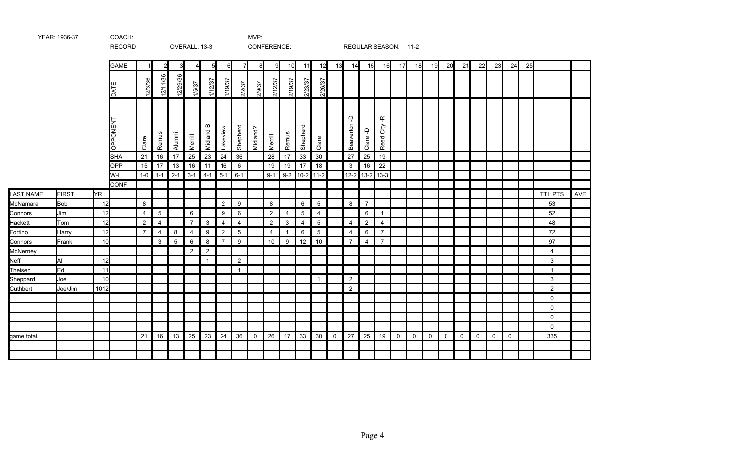|            |              |      | <b>RECORD</b> |                |                |               | OVERALL: 13-3  |                     |                |                |              | CONFERENCE:    |                |                 |                 |              |                          |                   | REGULAR SEASON: 11-2                  |             |    |    |             |              |    |             |    |    |                |     |
|------------|--------------|------|---------------|----------------|----------------|---------------|----------------|---------------------|----------------|----------------|--------------|----------------|----------------|-----------------|-----------------|--------------|--------------------------|-------------------|---------------------------------------|-------------|----|----|-------------|--------------|----|-------------|----|----|----------------|-----|
|            |              |      | <b>GAME</b>   |                | 2              | 3             | 4 <sup>1</sup> | 5                   | 6              | 71             | 81           | 9              | 10             | 11              | 12              | 13           | 14                       | 15                | 16                                    | 17          | 18 | 19 | 20          | 21           | 22 | 23          | 24 | 25 |                |     |
|            |              |      | DATE          | 12/3/36        | 12/11/36       | 12/29/36      | 1/5/37         | 1/12/37             | 1/19/37        | 2/2/37         | 2/9/37       | 2/12/37        | 2/19/37        | 2/23/37         | 2/26/37         |              |                          |                   |                                       |             |    |    |             |              |    |             |    |    |                |     |
|            |              |      | OPPONENT      | Clare          | Remus          | Alumni        | Merrill        | $\bf{m}$<br>Midland | Lakeview       | Shepherd       | Midland?     | Merrill        | Remus          | Shepherd        | Clare           |              | Ģ<br>Beaverton           | Ļ<br>Clare        | $\frac{\alpha}{\tau}$<br>City<br>Reed |             |    |    |             |              |    |             |    |    |                |     |
|            |              |      | <b>SHA</b>    | 21             | 16             | 17            | 25             | 23                  | 24             | 36             |              | 28             | 17             | 33              | 30              |              | 27                       | 25                | 19                                    |             |    |    |             |              |    |             |    |    |                |     |
|            |              |      | OPP<br>W-L    | 15<br>$1-0$    | 17<br>$1 - 1$  | 13<br>$2 - 1$ | 16<br>$3 - 1$  | 11<br>$4 - 1$       | 16<br>$5-1$    | 6<br>$6 - 1$   |              | 19<br>$9 - 1$  | 19<br>$9 - 2$  | 17<br>10-2 11-2 | 18              |              | $\mathbf{3}$<br>$12 - 2$ | 16<br>$13-2$ 13-3 | 22                                    |             |    |    |             |              |    |             |    |    |                |     |
|            |              |      | CONF          |                |                |               |                |                     |                |                |              |                |                |                 |                 |              |                          |                   |                                       |             |    |    |             |              |    |             |    |    |                |     |
| LAST NAME  | <b>FIRST</b> | ŀΥR  |               |                |                |               |                |                     |                |                |              |                |                |                 |                 |              |                          |                   |                                       |             |    |    |             |              |    |             |    |    | <b>TTL PTS</b> | AVE |
| McNamara   | <b>Bob</b>   | 12   |               | 8              |                |               |                |                     | $\overline{2}$ | 9              |              | 8              |                | 6               | $\overline{5}$  |              | 8                        | $\overline{7}$    |                                       |             |    |    |             |              |    |             |    |    | 53             |     |
| Connors    | Jim          | 12   |               | $\overline{4}$ | $\overline{5}$ |               | 6              |                     | 9              | 6              |              | $\overline{2}$ | 4              | 5               | $\overline{4}$  |              |                          | 6                 | $\overline{1}$                        |             |    |    |             |              |    |             |    |    | 52             |     |
| Hackett    | Tom          | 12   |               | $\overline{2}$ | 4              |               | $\overline{7}$ | 3                   | $\overline{4}$ | $\overline{4}$ |              | $\overline{2}$ | 3              | 4               | 5               |              | $\overline{4}$           | 2                 | 4                                     |             |    |    |             |              |    |             |    |    | 48             |     |
| Fortino    | Harry        | 12   |               | $\overline{7}$ | $\overline{4}$ | 8             | $\overline{4}$ | 9                   | $\overline{2}$ | 5              |              | $\overline{4}$ | $\overline{1}$ | 6               | $5\phantom{.0}$ |              | $\overline{4}$           | $6\phantom{.0}$   | $\overline{7}$                        |             |    |    |             |              |    |             |    |    | 72             |     |
| Connors    | Frank        | 10   |               |                | 3              | 5             | 6              | 8                   | $\overline{7}$ | 9              |              | 10             | 9              | 12              | 10              |              | $\overline{7}$           | 4                 | $\overline{7}$                        |             |    |    |             |              |    |             |    |    | 97             |     |
| McNerney   |              |      |               |                |                |               | $\overline{2}$ | $\overline{2}$      |                |                |              |                |                |                 |                 |              |                          |                   |                                       |             |    |    |             |              |    |             |    |    | 4              |     |
| Neff       | Al           | 12   |               |                |                |               |                | $\mathbf{1}$        |                | $\overline{2}$ |              |                |                |                 |                 |              |                          |                   |                                       |             |    |    |             |              |    |             |    |    | 3              |     |
| Theisen    | Ed           | 11   |               |                |                |               |                |                     |                | $\mathbf{1}$   |              |                |                |                 |                 |              |                          |                   |                                       |             |    |    |             |              |    |             |    |    | $\mathbf{1}$   |     |
| Sheppard   | Joe          | 10   |               |                |                |               |                |                     |                |                |              |                |                |                 | $\mathbf{1}$    |              | $\overline{2}$           |                   |                                       |             |    |    |             |              |    |             |    |    | 3              |     |
| Cuthbert   | Joe/Jim      | 1012 |               |                |                |               |                |                     |                |                |              |                |                |                 |                 |              | $\overline{2}$           |                   |                                       |             |    |    |             |              |    |             |    |    | $\overline{2}$ |     |
|            |              |      |               |                |                |               |                |                     |                |                |              |                |                |                 |                 |              |                          |                   |                                       |             |    |    |             |              |    |             |    |    | 0              |     |
|            |              |      |               |                |                |               |                |                     |                |                |              |                |                |                 |                 |              |                          |                   |                                       |             |    |    |             |              |    |             |    |    | 0              |     |
|            |              |      |               |                |                |               |                |                     |                |                |              |                |                |                 |                 |              |                          |                   |                                       |             |    |    |             |              |    |             |    |    | $\Omega$       |     |
|            |              |      |               |                |                |               |                |                     |                |                |              |                |                |                 |                 |              |                          |                   |                                       |             |    |    |             |              |    |             |    |    | $\Omega$       |     |
| game total |              |      |               | 21             | 16             | 13            | 25             | 23                  | 24             | 36             | $\mathsf{O}$ | 26             | 17             | 33              | 30              | $\mathsf{O}$ | 27                       | 25                | 19                                    | $\mathbf 0$ | 0  | 0  | $\mathbf 0$ | $\mathsf{O}$ | 0  | $\mathbf 0$ | 0  |    | 335            |     |
|            |              |      |               |                |                |               |                |                     |                |                |              |                |                |                 |                 |              |                          |                   |                                       |             |    |    |             |              |    |             |    |    |                |     |
|            |              |      |               |                |                |               |                |                     |                |                |              |                |                |                 |                 |              |                          |                   |                                       |             |    |    |             |              |    |             |    |    |                |     |

YEAR: 1936-37 COACH: MVP: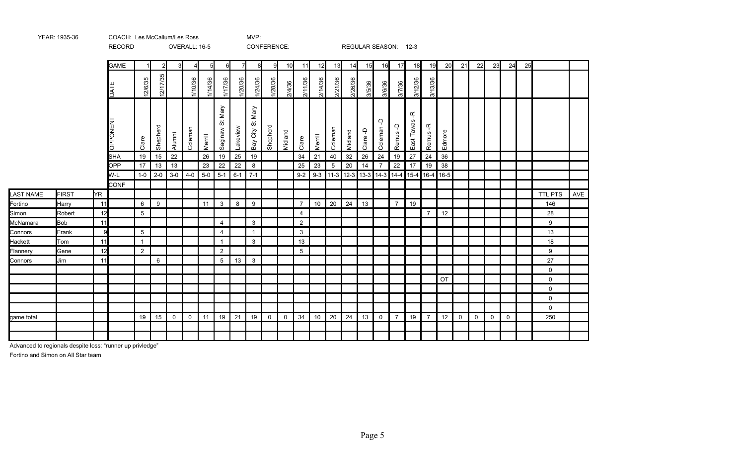|                  |              |     | <b>RECORD</b> |                |          |              | OVERALL: 16-5 |          |                    |          |                  | CONFERENCE: |             |                |         |         |         |             | REGULAR SEASON: 12-3                     |                |                                    |                |        |              |              |             |              |    |                |     |
|------------------|--------------|-----|---------------|----------------|----------|--------------|---------------|----------|--------------------|----------|------------------|-------------|-------------|----------------|---------|---------|---------|-------------|------------------------------------------|----------------|------------------------------------|----------------|--------|--------------|--------------|-------------|--------------|----|----------------|-----|
|                  |              |     | <b>GAME</b>   |                |          |              | 4             | $5 \mid$ | $6 \mid$           | 7        | 8                | 9           | 10          | 11             | 12      | 13      | 14      | 15          | 16                                       | 17             | 18                                 | 19             | 20     | 21           | 22           | 23          | 24           | 25 |                |     |
|                  |              |     | DATI          | 12/6/35        | 12/17/35 |              | 1/10/36       | 1/14/36  | 1/17/36            | 1/20/36  | 1/24/36          | 1/28/36     | 2/4/36      | 2/11/36        | 2/14/36 | 2/21/36 | 2/26/36 | 3/5/36      | 3/6/36                                   | 3/7/36         | 3/12/36                            | 3/13/36        |        |              |              |             |              |    |                |     |
|                  |              |     | PONENT<br>동   | Clare          | Shepherd | Alumni       | Coleman       | Merrill  | St Mary<br>saginaw | Lakeview | Bay City St Mary | Shepherd    | Midland     | Clare          | Merrill | Coleman | Midland | Ļ<br>Clare. | $\Delta$<br>Coleman                      | Remus-D        | $\frac{1}{\sqrt{2}}$<br>East Tawas | Ķ<br>Remus     | Edmore |              |              |             |              |    |                |     |
|                  |              |     | <b>SHA</b>    | 19             | 15       | 22           |               | 26       | 19                 | 25       | 19               |             |             | 34             | 21      | 40      | 32      | 26          | 24                                       | 19             | 27                                 | 24             | 36     |              |              |             |              |    |                |     |
|                  |              |     | OPP           | 17             | 13       | 13           |               | 23       | 22                 | 22       | 8                |             |             | 25             | 23      | 5       | 20      | 14          | $\overline{7}$                           | 22             | 17                                 | 19             | 38     |              |              |             |              |    |                |     |
|                  |              |     | W-L           | $1-0$          | $2 - 0$  | $3-0$        | $4 - 0$       | $5-0$    | $5 - 1$            | $6 - 1$  | $7 - 1$          |             |             | $9-2$          |         |         |         |             | $9-3$   11-3   12-3   13-3   14-3   14-4 |                |                                    | 15-4 16-4 16-5 |        |              |              |             |              |    |                |     |
|                  |              |     | <b>CONF</b>   |                |          |              |               |          |                    |          |                  |             |             |                |         |         |         |             |                                          |                |                                    |                |        |              |              |             |              |    |                |     |
| <b>LAST NAME</b> | <b>FIRST</b> | YR. |               |                |          |              |               |          |                    |          |                  |             |             |                |         |         |         |             |                                          |                |                                    |                |        |              |              |             |              |    | <b>TTL PTS</b> | AVE |
| Fortino          | Harry        | 11  |               | 6              | 9        |              |               | 11       | $\mathbf{3}$       | 8        | 9                |             |             | $\overline{7}$ | 10      | 20      | 24      | 13          |                                          | $\overline{7}$ | 19                                 |                |        |              |              |             |              |    | 146            |     |
| Simon            | Robert       | 12  |               | 5              |          |              |               |          |                    |          |                  |             |             | $\overline{4}$ |         |         |         |             |                                          |                |                                    | $\overline{7}$ | 12     |              |              |             |              |    | 28             |     |
| McNamara         | <b>Bob</b>   | 11  |               |                |          |              |               |          | $\overline{4}$     |          | $\mathbf{3}$     |             |             | $\overline{2}$ |         |         |         |             |                                          |                |                                    |                |        |              |              |             |              |    | 9              |     |
| Connors          | Frank        | 9   |               | 5              |          |              |               |          | $\overline{4}$     |          | $\overline{1}$   |             |             | 3              |         |         |         |             |                                          |                |                                    |                |        |              |              |             |              |    | 13             |     |
| Hackett          | Tom          | 11  |               | $\mathbf{1}$   |          |              |               |          | $\overline{1}$     |          | $\mathbf{3}$     |             |             | 13             |         |         |         |             |                                          |                |                                    |                |        |              |              |             |              |    | 18             |     |
| Flannery         | Gene         | 12  |               | $\overline{2}$ |          |              |               |          | $\overline{2}$     |          |                  |             |             | 5              |         |         |         |             |                                          |                |                                    |                |        |              |              |             |              |    | 9              |     |
| Connors          | Jim          | 11  |               |                | 6        |              |               |          | $\overline{5}$     | 13       | $\mathbf{3}$     |             |             |                |         |         |         |             |                                          |                |                                    |                |        |              |              |             |              |    | 27             |     |
|                  |              |     |               |                |          |              |               |          |                    |          |                  |             |             |                |         |         |         |             |                                          |                |                                    |                |        |              |              |             |              |    | 0              |     |
|                  |              |     |               |                |          |              |               |          |                    |          |                  |             |             |                |         |         |         |             |                                          |                |                                    |                | OT     |              |              |             |              |    | 0              |     |
|                  |              |     |               |                |          |              |               |          |                    |          |                  |             |             |                |         |         |         |             |                                          |                |                                    |                |        |              |              |             |              |    | $\mathsf{O}$   |     |
|                  |              |     |               |                |          |              |               |          |                    |          |                  |             |             |                |         |         |         |             |                                          |                |                                    |                |        |              |              |             |              |    | 0              |     |
|                  |              |     |               |                |          |              |               |          |                    |          |                  |             |             |                |         |         |         |             |                                          |                |                                    |                |        |              |              |             |              |    | $\mathsf{O}$   |     |
| game total       |              |     |               | 19             | 15       | $\mathsf{O}$ | $\mathsf{O}$  | 11       | 19                 | 21       | 19               | $\mathbf 0$ | $\mathbf 0$ | 34             | 10      | 20      | 24      | 13          | $\mathsf{O}$                             | $\overline{7}$ | 19                                 | $\overline{7}$ | 12     | $\mathsf{O}$ | $\mathsf{O}$ | $\mathbf 0$ | $\mathsf{O}$ |    | 250            |     |
|                  |              |     |               |                |          |              |               |          |                    |          |                  |             |             |                |         |         |         |             |                                          |                |                                    |                |        |              |              |             |              |    |                |     |
|                  |              |     |               |                |          |              |               |          |                    |          |                  |             |             |                |         |         |         |             |                                          |                |                                    |                |        |              |              |             |              |    |                |     |

Advanced to regionals despite loss: "runner up privledge"

Fortino and Simon on All Star team

YEAR: 1935-36 COACH: MVP: Les McCallum/Les Ross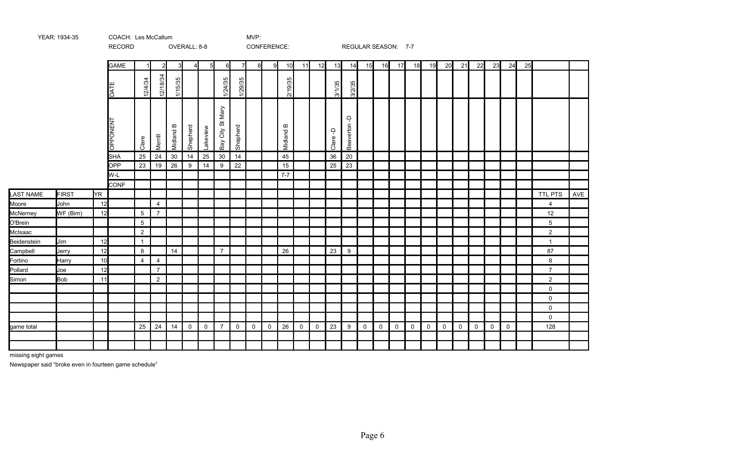|             |              |     | RECORD      |                |                |              | OVERALL: 8-8 |                |                       |                |              | CONFERENCE:  |                         |             |             |                       | REGULAR SEASON: 7-7   |             |    |                |             |             |             |             |             |             |             |    |                 |            |
|-------------|--------------|-----|-------------|----------------|----------------|--------------|--------------|----------------|-----------------------|----------------|--------------|--------------|-------------------------|-------------|-------------|-----------------------|-----------------------|-------------|----|----------------|-------------|-------------|-------------|-------------|-------------|-------------|-------------|----|-----------------|------------|
|             |              |     | <b>GAME</b> |                | $\overline{2}$ |              |              | 5 <sup>1</sup> | 6I                    | $\overline{7}$ | 8            | -9           | 10                      | 11          | 12          | 13                    | 14                    | 15          | 16 | 17             | 18          | 19          | 20          | 21          | 22          | 23          | 24          | 25 |                 |            |
|             |              |     | <b>DATE</b> | 12/4/34        | 12/18/34       | 1/15/35      |              |                | 1/24/35               | 1/29/35        |              |              | 2/19/35                 |             |             | $3/1/35$              | 3/2/35                |             |    |                |             |             |             |             |             |             |             |    |                 |            |
|             |              |     | OPPONENT    | Clare          | Merrill        | ≃<br>Midland | Shepherd     | Lakeview       | Mary<br>Bay City St M | Shepherd       |              |              | $\mathbf{m}$<br>Midland |             |             | $\mathsf{P}$<br>Clare | $\Delta$<br>Beaverton |             |    |                |             |             |             |             |             |             |             |    |                 |            |
|             |              |     | <b>SHA</b>  | 25             | 24             | 30           | 14           | 25             | $30\,$                | 14             |              |              | 45                      |             |             | 36                    | 20                    |             |    |                |             |             |             |             |             |             |             |    |                 |            |
|             |              |     | <b>OPP</b>  | 23             | 19             | 26           | 9            | 14             | 9                     | 22             |              |              | 15                      |             |             | 25                    | 23                    |             |    |                |             |             |             |             |             |             |             |    |                 |            |
|             |              |     | W-L         |                |                |              |              |                |                       |                |              |              | $7 - 7$                 |             |             |                       |                       |             |    |                |             |             |             |             |             |             |             |    |                 |            |
|             |              |     | <b>CONF</b> |                |                |              |              |                |                       |                |              |              |                         |             |             |                       |                       |             |    |                |             |             |             |             |             |             |             |    |                 |            |
| LAST NAME   | <b>FIRST</b> | YR. |             |                |                |              |              |                |                       |                |              |              |                         |             |             |                       |                       |             |    |                |             |             |             |             |             |             |             |    | TTL PTS         | <b>AVE</b> |
| Moore       | John         | 12  |             |                | $\overline{4}$ |              |              |                |                       |                |              |              |                         |             |             |                       |                       |             |    |                |             |             |             |             |             |             |             |    | $\overline{4}$  |            |
| McNerney    | WF (Bim)     | 12  |             | 5              | $\overline{7}$ |              |              |                |                       |                |              |              |                         |             |             |                       |                       |             |    |                |             |             |             |             |             |             |             |    | 12              |            |
| O'Brein     |              |     |             | 5              |                |              |              |                |                       |                |              |              |                         |             |             |                       |                       |             |    |                |             |             |             |             |             |             |             |    | $5\overline{)}$ |            |
| McIsaac     |              |     |             | $\overline{2}$ |                |              |              |                |                       |                |              |              |                         |             |             |                       |                       |             |    |                |             |             |             |             |             |             |             |    | $\overline{2}$  |            |
| Beidenstein | Jim          | 12  |             | $\overline{1}$ |                |              |              |                |                       |                |              |              |                         |             |             |                       |                       |             |    |                |             |             |             |             |             |             |             |    | $\mathbf{1}$    |            |
| Campbell    | Jerry        | 12  |             | 8              |                | 14           |              |                | $\overline{7}$        |                |              |              | 26                      |             |             | 23                    | 9                     |             |    |                |             |             |             |             |             |             |             |    | 87              |            |
| Fortino     | Harry        | 10  |             | $\overline{4}$ | $\overline{4}$ |              |              |                |                       |                |              |              |                         |             |             |                       |                       |             |    |                |             |             |             |             |             |             |             |    | 8               |            |
| Pollard     | Joe          | 12  |             |                | $\overline{7}$ |              |              |                |                       |                |              |              |                         |             |             |                       |                       |             |    |                |             |             |             |             |             |             |             |    | $\overline{7}$  |            |
| Simon       | <b>Bob</b>   | 11  |             |                | $\overline{2}$ |              |              |                |                       |                |              |              |                         |             |             |                       |                       |             |    |                |             |             |             |             |             |             |             |    | $\overline{2}$  |            |
|             |              |     |             |                |                |              |              |                |                       |                |              |              |                         |             |             |                       |                       |             |    |                |             |             |             |             |             |             |             |    | 0               |            |
|             |              |     |             |                |                |              |              |                |                       |                |              |              |                         |             |             |                       |                       |             |    |                |             |             |             |             |             |             |             |    | $\mathsf{O}$    |            |
|             |              |     |             |                |                |              |              |                |                       |                |              |              |                         |             |             |                       |                       |             |    |                |             |             |             |             |             |             |             |    | $\mathsf{O}$    |            |
|             |              |     |             |                |                |              |              |                |                       |                |              |              |                         |             |             |                       |                       |             |    |                |             |             |             |             |             |             |             |    | $\mathbf 0$     |            |
| game total  |              |     |             | 25             | 24             | 14           | $\mathsf{O}$ | $\mathbf 0$    | $\overline{7}$        | $\mathbf 0$    | $\mathsf{O}$ | $\mathsf{O}$ | 26                      | $\mathbf 0$ | $\mathbf 0$ | 23                    | 9                     | $\mathbf 0$ | 0  | $\overline{0}$ | $\mathbf 0$ | $\mathbf 0$ | $\mathbf 0$ | $\mathbf 0$ | $\mathbf 0$ | $\mathbf 0$ | $\mathbf 0$ |    | 128             |            |
|             |              |     |             |                |                |              |              |                |                       |                |              |              |                         |             |             |                       |                       |             |    |                |             |             |             |             |             |             |             |    |                 |            |
|             |              |     |             |                |                |              |              |                |                       |                |              |              |                         |             |             |                       |                       |             |    |                |             |             |             |             |             |             |             |    |                 |            |

missing eight games

Newspaper said "broke even in fourteen game schedule"

YEAR: 1934-35 COACH: MVP: Les McCallum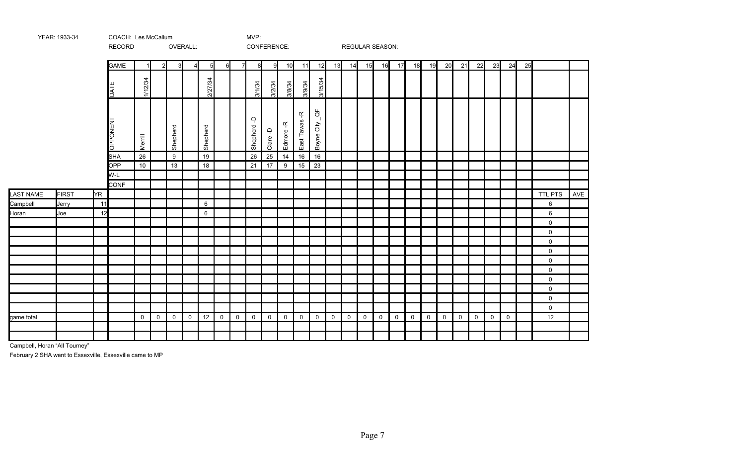|                       |              |     | RECORD          |              |             |              | OVERALL:       |          |             |             |                      | CONFERENCE:                      |               |                    |                         |                     |                     |                     | <b>REGULAR SEASON:</b> |              |             |             |             |             |             |             |             |    |                     |     |
|-----------------------|--------------|-----|-----------------|--------------|-------------|--------------|----------------|----------|-------------|-------------|----------------------|----------------------------------|---------------|--------------------|-------------------------|---------------------|---------------------|---------------------|------------------------|--------------|-------------|-------------|-------------|-------------|-------------|-------------|-------------|----|---------------------|-----|
|                       |              |     | <b>GAME</b>     |              | 2           | $\mathbf{3}$ | $\overline{4}$ | 5        | 6           | 7           | 8                    | 9                                | 10            | 11                 | 12                      | 13                  | 14                  | 15                  | 16                     | 17           | 18          | 19          | 20          | 21          | 22          | 23          | 24          | 25 |                     |     |
|                       |              |     | <b>DATE</b>     | 1/12/34      |             |              |                | 2/27/34  |             |             | 3/1/34               | 3/2/34                           | 3/8/34        | 3/9/34             | 3/15/34                 |                     |                     |                     |                        |              |             |             |             |             |             |             |             |    |                     |     |
|                       |              |     | <b>LN3NOddO</b> | Merrill      |             | Shepherd     |                | Shepherd |             |             | $\Delta$<br>Shepherd | $\overline{\mathsf{d}}$<br>Clare | 乓<br>Edmore-  | Ľ<br>Tawas<br>East | ტ<br>ი<br>City<br>Boyne |                     |                     |                     |                        |              |             |             |             |             |             |             |             |    |                     |     |
|                       |              |     | <b>SHA</b>      | 26           |             | $9\,$        |                | 19       |             |             | 26                   | 25                               | 14            | 16                 | 16                      |                     |                     |                     |                        |              |             |             |             |             |             |             |             |    |                     |     |
|                       |              |     | OPP             | 10           |             | 13           |                | 18       |             |             | 21                   | 17                               | $\frac{9}{9}$ | 15                 | 23                      |                     |                     |                     |                        |              |             |             |             |             |             |             |             |    |                     |     |
|                       |              |     | W-L             |              |             |              |                |          |             |             |                      |                                  |               |                    |                         |                     |                     |                     |                        |              |             |             |             |             |             |             |             |    |                     |     |
|                       | <b>FIRST</b> | YR. | <b>CONF</b>     |              |             |              |                |          |             |             |                      |                                  |               |                    |                         |                     |                     |                     |                        |              |             |             |             |             |             |             |             |    | <b>TTL PTS</b>      |     |
| LAST NAME<br>Campbell |              | 11  |                 |              |             |              |                | 6        |             |             |                      |                                  |               |                    |                         |                     |                     |                     |                        |              |             |             |             |             |             |             |             |    | $\,6\,$             | AVE |
| Horan                 | Jerry<br>Joe | 12  |                 |              |             |              |                | $\,6\,$  |             |             |                      |                                  |               |                    |                         |                     |                     |                     |                        |              |             |             |             |             |             |             |             |    | 6                   |     |
|                       |              |     |                 |              |             |              |                |          |             |             |                      |                                  |               |                    |                         |                     |                     |                     |                        |              |             |             |             |             |             |             |             |    | $\mathbf 0$         |     |
|                       |              |     |                 |              |             |              |                |          |             |             |                      |                                  |               |                    |                         |                     |                     |                     |                        |              |             |             |             |             |             |             |             |    | $\mathbf 0$         |     |
|                       |              |     |                 |              |             |              |                |          |             |             |                      |                                  |               |                    |                         |                     |                     |                     |                        |              |             |             |             |             |             |             |             |    | $\mathbf 0$         |     |
|                       |              |     |                 |              |             |              |                |          |             |             |                      |                                  |               |                    |                         |                     |                     |                     |                        |              |             |             |             |             |             |             |             |    | $\mathsf{O}\xspace$ |     |
|                       |              |     |                 |              |             |              |                |          |             |             |                      |                                  |               |                    |                         |                     |                     |                     |                        |              |             |             |             |             |             |             |             |    | $\mathsf{O}\xspace$ |     |
|                       |              |     |                 |              |             |              |                |          |             |             |                      |                                  |               |                    |                         |                     |                     |                     |                        |              |             |             |             |             |             |             |             |    | $\mathsf{O}\xspace$ |     |
|                       |              |     |                 |              |             |              |                |          |             |             |                      |                                  |               |                    |                         |                     |                     |                     |                        |              |             |             |             |             |             |             |             |    | $\mathbf 0$         |     |
|                       |              |     |                 |              |             |              |                |          |             |             |                      |                                  |               |                    |                         |                     |                     |                     |                        |              |             |             |             |             |             |             |             |    | $\mathbf 0$         |     |
|                       |              |     |                 |              |             |              |                |          |             |             |                      |                                  |               |                    |                         |                     |                     |                     |                        |              |             |             |             |             |             |             |             |    | $\mathsf{O}$        |     |
|                       |              |     |                 |              |             |              |                |          |             |             |                      |                                  |               |                    |                         |                     |                     |                     |                        |              |             |             |             |             |             |             |             |    | $\mathsf{O}$        |     |
| game total            |              |     |                 | $\mathsf{O}$ | $\mathsf 0$ | $\mathsf 0$  | $\mathsf 0$    | 12       | $\mathsf 0$ | $\mathsf 0$ | $\mathbf 0$          | $\mathsf{O}$                     | $\mathsf 0$   | $\mathsf 0$        | $\mathsf{O}$            | $\mathsf{O}\xspace$ | $\mathsf{O}\xspace$ | $\mathsf{O}\xspace$ | $\mathbf 0$            | $\mathsf{O}$ | $\mathbf 0$ | $\mathsf 0$ | $\mathsf 0$ | $\mathbf 0$ | $\mathsf 0$ | $\mathsf 0$ | $\mathbf 0$ |    | 12                  |     |
|                       |              |     |                 |              |             |              |                |          |             |             |                      |                                  |               |                    |                         |                     |                     |                     |                        |              |             |             |             |             |             |             |             |    |                     |     |
|                       |              |     |                 |              |             |              |                |          |             |             |                      |                                  |               |                    |                         |                     |                     |                     |                        |              |             |             |             |             |             |             |             |    |                     |     |

Campbell, Horan "All Tourney"

February 2 SHA went to Essexville, Essexville came to MP

YEAR: 1933-34 COACH: MVP: Les McCallum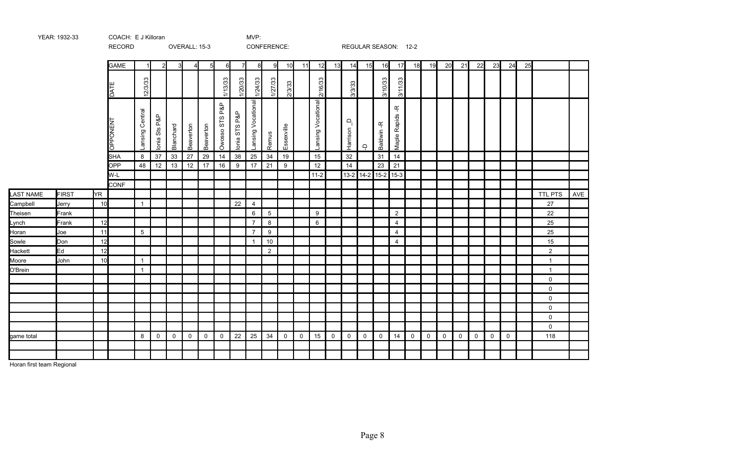|                  |              |           | RECORD      |                 |               |              | OVERALL: 15-3 |                |                |               | CONFERENCE:        |                |             |    |                    |             |                      |              | REGULAR SEASON: 12-2              |                   |             |              |              |              |             |              |              |    |                |     |
|------------------|--------------|-----------|-------------|-----------------|---------------|--------------|---------------|----------------|----------------|---------------|--------------------|----------------|-------------|----|--------------------|-------------|----------------------|--------------|-----------------------------------|-------------------|-------------|--------------|--------------|--------------|-------------|--------------|--------------|----|----------------|-----|
|                  |              |           | <b>GAME</b> | $\mathbf{1}$    | 2             |              |               | 5 <sub>l</sub> | 6              | 71            | 8                  | -9             | 10          | 11 | 12                 | 13          | 14                   | 15           | 16                                | 17                | 18          | 19           | 20           | 21           | 22          | 23           | 24           | 25 |                |     |
|                  |              |           | DATE        | 12/3/33         |               |              |               |                | 1/13/33        | 1/20/33       | 1/24/33            | 1/27/33        | 2/3/33      |    | 2/16/33            |             | 3/3/33               |              | 3/10/33                           | 3/11/33           |             |              |              |              |             |              |              |    |                |     |
|                  |              |           | OPPONENT    | Lansing Central | Ionia Sts P&P | Blanchard    | Beaverton     | Beaverton      | Owosso STS P&P | lonia STS P&P | Lansing Vocational | Remus          | Essexville  |    | Lansing Vocational |             | $\Omega$<br>Harrison | $\Delta$     | $\frac{\alpha'}{\tau}$<br>Baldwin | ᡩ<br>Maple Rapids |             |              |              |              |             |              |              |    |                |     |
|                  |              |           | <b>SHA</b>  | 8               | 37            | 33           | 27            | 29             | 14             | 38            | 25                 | 34             | 19          |    | 15                 |             | 32                   |              | 31                                | 14                |             |              |              |              |             |              |              |    |                |     |
|                  |              |           | OPP         | 48              | 12            | 13           | 12            | 17             | 16             | 9             | 17                 | 21             | 9           |    | 12                 |             | 14                   |              | 23                                | 21                |             |              |              |              |             |              |              |    |                |     |
|                  |              |           | W-L         |                 |               |              |               |                |                |               |                    |                |             |    | $11-2$             |             |                      |              | 13-2 14-2 15-2 15-3               |                   |             |              |              |              |             |              |              |    |                |     |
|                  |              |           | <b>CONF</b> |                 |               |              |               |                |                |               |                    |                |             |    |                    |             |                      |              |                                   |                   |             |              |              |              |             |              |              |    |                |     |
| <b>LAST NAME</b> | <b>FIRST</b> | <b>YR</b> |             |                 |               |              |               |                |                |               |                    |                |             |    |                    |             |                      |              |                                   |                   |             |              |              |              |             |              |              |    | TTL PTS        | AVE |
| Campbell         | Jerry        | 10        |             | $\mathbf{1}$    |               |              |               |                |                | 22            | $\overline{4}$     |                |             |    |                    |             |                      |              |                                   |                   |             |              |              |              |             |              |              |    | 27             |     |
| Theisen          | Frank        |           |             |                 |               |              |               |                |                |               | 6                  | $\overline{5}$ |             |    | 9                  |             |                      |              |                                   | $\overline{2}$    |             |              |              |              |             |              |              |    | 22             |     |
| Lynch            | Frank        | 12        |             |                 |               |              |               |                |                |               | $\overline{7}$     | 8              |             |    | 6                  |             |                      |              |                                   | $\overline{4}$    |             |              |              |              |             |              |              |    | 25             |     |
| Horan            | Joe          | 11        |             | $5\overline{)}$ |               |              |               |                |                |               | $\overline{7}$     | 9              |             |    |                    |             |                      |              |                                   | $\overline{4}$    |             |              |              |              |             |              |              |    | 25             |     |
| Sowle            | Don          | 12        |             |                 |               |              |               |                |                |               | $\overline{1}$     | $10$           |             |    |                    |             |                      |              |                                   | $\overline{4}$    |             |              |              |              |             |              |              |    | 15             |     |
| Hackett          | Ed           | 12        |             |                 |               |              |               |                |                |               |                    | $\overline{2}$ |             |    |                    |             |                      |              |                                   |                   |             |              |              |              |             |              |              |    | $\overline{2}$ |     |
| Moore            | John         | 10        |             | $\mathbf{1}$    |               |              |               |                |                |               |                    |                |             |    |                    |             |                      |              |                                   |                   |             |              |              |              |             |              |              |    | $\mathbf{1}$   |     |
| O'Brein          |              |           |             | $\mathbf{1}$    |               |              |               |                |                |               |                    |                |             |    |                    |             |                      |              |                                   |                   |             |              |              |              |             |              |              |    | $\mathbf{1}$   |     |
|                  |              |           |             |                 |               |              |               |                |                |               |                    |                |             |    |                    |             |                      |              |                                   |                   |             |              |              |              |             |              |              |    | $\mathbf 0$    |     |
|                  |              |           |             |                 |               |              |               |                |                |               |                    |                |             |    |                    |             |                      |              |                                   |                   |             |              |              |              |             |              |              |    | 0              |     |
|                  |              |           |             |                 |               |              |               |                |                |               |                    |                |             |    |                    |             |                      |              |                                   |                   |             |              |              |              |             |              |              |    | $\mathsf{O}$   |     |
|                  |              |           |             |                 |               |              |               |                |                |               |                    |                |             |    |                    |             |                      |              |                                   |                   |             |              |              |              |             |              |              |    | $\mathbf 0$    |     |
|                  |              |           |             |                 |               |              |               |                |                |               |                    |                |             |    |                    |             |                      |              |                                   |                   |             |              |              |              |             |              |              |    | $\mathbf 0$    |     |
|                  |              |           |             |                 |               |              |               |                |                |               |                    |                |             |    |                    |             |                      |              |                                   |                   |             |              |              |              |             |              |              |    | $\mathbf 0$    |     |
| game total       |              |           |             | 8               | $\mathbf 0$   | $\mathsf{O}$ | $\mathsf{O}$  | $\mathsf{O}$   | $\mathsf{O}$   | 22            | 25                 | 34             | $\mathbf 0$ | 0  | 15                 | $\mathbf 0$ | $\mathbf 0$          | $\mathsf{O}$ | $\mathsf{O}$                      | 14                | $\mathbf 0$ | $\mathsf{O}$ | $\mathsf{O}$ | $\mathsf{O}$ | $\mathbf 0$ | $\mathsf{O}$ | $\mathsf{O}$ |    | 118            |     |
|                  |              |           |             |                 |               |              |               |                |                |               |                    |                |             |    |                    |             |                      |              |                                   |                   |             |              |              |              |             |              |              |    |                |     |
|                  |              |           |             |                 |               |              |               |                |                |               |                    |                |             |    |                    |             |                      |              |                                   |                   |             |              |              |              |             |              |              |    |                |     |

Horan first team Regional

YEAR: 1932-33 COACH: E J Killoran MVP: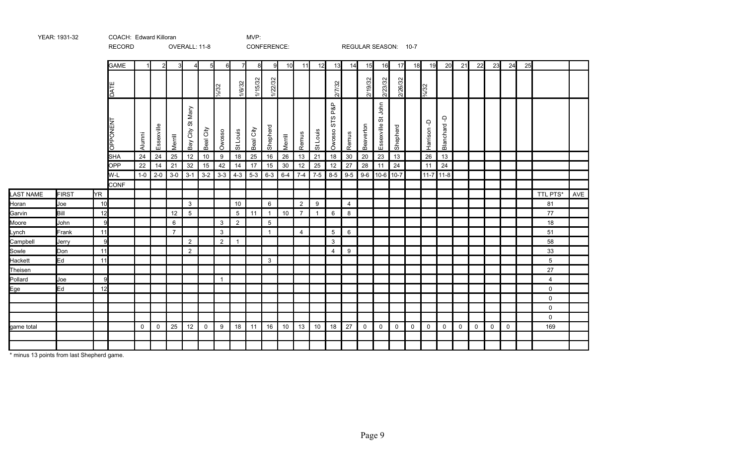|              |              |              | <b>RECORD</b> |             |              |                | OVERALL: 11-8            |                  |                |                | CONFERENCE: |                 |         |                |                |                          |                | REGULAR SEASON: 10-7 |                       |             |              |                  |                |             |             |              |             |    |                |     |
|--------------|--------------|--------------|---------------|-------------|--------------|----------------|--------------------------|------------------|----------------|----------------|-------------|-----------------|---------|----------------|----------------|--------------------------|----------------|----------------------|-----------------------|-------------|--------------|------------------|----------------|-------------|-------------|--------------|-------------|----|----------------|-----|
|              |              |              | <b>GAME</b>   |             |              |                | 41                       | $5 \blacksquare$ | 6              | 71             | 8           | -91             | 10      | 11             | 12             | 13                       | 14             | 15                   | 16                    | 17          | 18           | 19               | 20             | 21          | 22          | 23           | 24          | 25 |                |     |
|              |              |              | DATE          |             |              |                |                          |                  | 1/2/32         | 1/6/32         | 1/15/32     | 1/22/32         |         |                |                | 2/7/32                   |                | 2/19/32              | 2/23/32               | 2/26/32     |              | $\frac{3}{4}/32$ |                |             |             |              |             |    |                |     |
|              |              |              | DPPONENT      | Alumni      | Essexville   | Merrill        | Mary<br>ö<br>City<br>Bay | Beal City        | Owosso         | St Louis       | Beal City   | Shepherd        | Merrill | Remus          | St Louis       | P&P<br>ဖ<br>55<br>Owosso | Remus          | Beaverton            | St John<br>Essexville | Shepherd    |              | Harrison-D       | ۾<br>Blanchard |             |             |              |             |    |                |     |
|              |              |              | <b>SHA</b>    | 24          | 24           | 25             | 12                       | $10\,$           | $9\,$          | 18             | 25          | 16              | 26      | 13             | 21             | 18                       | 30             | 20                   | 23                    | 13          |              | 26               | 13             |             |             |              |             |    |                |     |
|              |              |              | <b>OPP</b>    | 22          | 14           | 21             | 32                       | 15               | 42             | 14             | 17          | 15              | 30      | 12             | 25             | 12                       | 27             | 28                   | 11                    | 24          |              | 11               | 24             |             |             |              |             |    |                |     |
|              |              |              | W-L           | $1-0$       | $2 - 0$      | $3-0$          | $3-1$                    | $3-2$            | $3-3$          | $4 - 3$        | $5-3$       | $6 - 3$         | $6 - 4$ | $7 - 4$        | $7 - 5$        | $8-5$                    | $9-5$          |                      | $9-6$   10-6   10-7   |             |              | $11-7$ 11-8      |                |             |             |              |             |    |                |     |
|              |              |              | <b>CONF</b>   |             |              |                |                          |                  |                |                |             |                 |         |                |                |                          |                |                      |                       |             |              |                  |                |             |             |              |             |    |                |     |
| LAST NAME    | <b>FIRST</b> | <b>YR</b>    |               |             |              |                |                          |                  |                |                |             |                 |         |                |                |                          |                |                      |                       |             |              |                  |                |             |             |              |             |    | TTL PTS*       | AVE |
| Horan        | Joe          | 10           |               |             |              |                | $\mathbf{3}$             |                  |                | 10             |             | 6               |         | $\overline{2}$ | 9              |                          | $\overline{4}$ |                      |                       |             |              |                  |                |             |             |              |             |    | 81             |     |
| Garvin       | Bill         | 12           |               |             |              | 12             | 5                        |                  |                | 5              | 11          | $\overline{1}$  | 10      | $\overline{7}$ | $\overline{1}$ | 6                        | 8              |                      |                       |             |              |                  |                |             |             |              |             |    | 77             |     |
| Moore        | John         | $\mathbf{Q}$ |               |             |              | 6              |                          |                  | 3              | $\overline{2}$ |             | $5\overline{5}$ |         |                |                |                          |                |                      |                       |             |              |                  |                |             |             |              |             |    | 18             |     |
| <u>Lynch</u> | Frank        | 11           |               |             |              | $\overline{7}$ |                          |                  | 3              |                |             | $\overline{1}$  |         | $\overline{4}$ |                | 5                        | 6              |                      |                       |             |              |                  |                |             |             |              |             |    | 51             |     |
| Campbell     | Jerry        | $\mathbf{q}$ |               |             |              |                | $\overline{2}$           |                  | $\overline{2}$ | $\overline{1}$ |             |                 |         |                |                | 3                        |                |                      |                       |             |              |                  |                |             |             |              |             |    | 58             |     |
| Sowle        | Don          | 11           |               |             |              |                | $\overline{2}$           |                  |                |                |             |                 |         |                |                | 4                        | 9              |                      |                       |             |              |                  |                |             |             |              |             |    | 33             |     |
| Hackett      | Ed           | 11           |               |             |              |                |                          |                  |                |                |             | 3               |         |                |                |                          |                |                      |                       |             |              |                  |                |             |             |              |             |    | 5              |     |
| Theisen      |              |              |               |             |              |                |                          |                  |                |                |             |                 |         |                |                |                          |                |                      |                       |             |              |                  |                |             |             |              |             |    | 27             |     |
| Pollard      | Joe          | $\mathbf{Q}$ |               |             |              |                |                          |                  | $\mathbf{1}$   |                |             |                 |         |                |                |                          |                |                      |                       |             |              |                  |                |             |             |              |             |    | $\overline{4}$ |     |
| Ege          | Ed           | 12           |               |             |              |                |                          |                  |                |                |             |                 |         |                |                |                          |                |                      |                       |             |              |                  |                |             |             |              |             |    | $\mathsf{O}$   |     |
|              |              |              |               |             |              |                |                          |                  |                |                |             |                 |         |                |                |                          |                |                      |                       |             |              |                  |                |             |             |              |             |    | $\mathbf 0$    |     |
|              |              |              |               |             |              |                |                          |                  |                |                |             |                 |         |                |                |                          |                |                      |                       |             |              |                  |                |             |             |              |             |    | 0              |     |
|              |              |              |               |             |              |                |                          |                  |                |                |             |                 |         |                |                |                          |                |                      |                       |             |              |                  |                |             |             |              |             |    | $\mathbf 0$    |     |
| game total   |              |              |               | $\mathbf 0$ | $\mathsf{O}$ | 25             | 12                       | $\mathbf 0$      | $9\,$          | 18             | 11          | 16              | 10      | 13             | 10             | 18                       | 27             | $\mathsf{O}$         | $\mathsf{O}$          | $\mathbf 0$ | $\mathsf{O}$ | $\mathbf 0$      | $\mathbf 0$    | $\mathbf 0$ | $\mathbf 0$ | $\mathsf{O}$ | $\mathbf 0$ |    | 169            |     |
|              |              |              |               |             |              |                |                          |                  |                |                |             |                 |         |                |                |                          |                |                      |                       |             |              |                  |                |             |             |              |             |    |                |     |
|              |              |              |               |             |              |                |                          |                  |                |                |             |                 |         |                |                |                          |                |                      |                       |             |              |                  |                |             |             |              |             |    |                |     |

\* minus 13 points from last Shepherd game.

YEAR: 1931-32 COACH: Edward Killoran COAC COACH: Edward Killoran